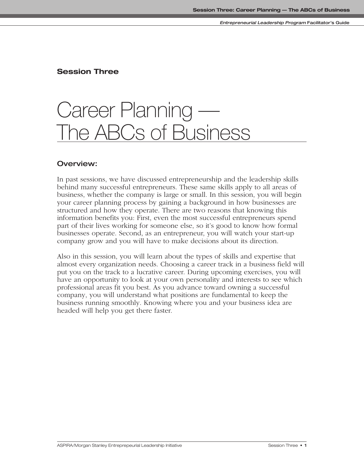# **Session Three**

# Career Planning — The ABCs of Business

# **Overview:**

In past sessions, we have discussed entrepreneurship and the leadership skills behind many successful entrepreneurs. These same skills apply to all areas of business, whether the company is large or small. In this session, you will begin your career planning process by gaining a background in how businesses are structured and how they operate. There are two reasons that knowing this information benefits you: First, even the most successful entrepreneurs spend part of their lives working for someone else, so it's good to know how formal businesses operate. Second, as an entrepreneur, you will watch your start-up company grow and you will have to make decisions about its direction.

Also in this session, you will learn about the types of skills and expertise that almost every organization needs. Choosing a career track in a business field will put you on the track to a lucrative career. During upcoming exercises, you will have an opportunity to look at your own personality and interests to see which professional areas fit you best. As you advance toward owning a successful company, you will understand what positions are fundamental to keep the business running smoothly. Knowing where you and your business idea are headed will help you get there faster.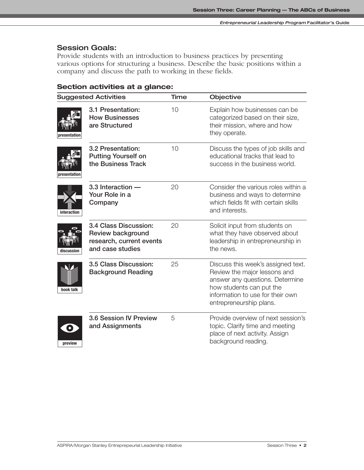# **Session Goals:**

Provide students with an introduction to business practices by presenting various options for structuring a business. Describe the basic positions within a company and discuss the path to working in these fields.

# **Section activities at a glance:**

| <b>Suggested Activities</b> |                                                                                                   | Time | Objective                                                                                                                                                                                        |
|-----------------------------|---------------------------------------------------------------------------------------------------|------|--------------------------------------------------------------------------------------------------------------------------------------------------------------------------------------------------|
| presentation                | 3.1 Presentation:<br><b>How Businesses</b><br>are Structured                                      | 10   | Explain how businesses can be<br>categorized based on their size,<br>their mission, where and how<br>they operate.                                                                               |
| presentation                | 3.2 Presentation:<br><b>Putting Yourself on</b><br>the Business Track                             | 10   | Discuss the types of job skills and<br>educational tracks that lead to<br>success in the business world.                                                                                         |
| interaction                 | 3.3 Interaction -<br>Your Role in a<br>Company                                                    | 20   | Consider the various roles within a<br>business and ways to determine<br>which fields fit with certain skills<br>and interests.                                                                  |
| discussion                  | 3.4 Class Discussion:<br><b>Review background</b><br>research, current events<br>and case studies | 20   | Solicit input from students on<br>what they have observed about<br>leadership in entrepreneurship in<br>the news.                                                                                |
| book talk                   | 3.5 Class Discussion:<br><b>Background Reading</b>                                                | 25   | Discuss this week's assigned text.<br>Review the major lessons and<br>answer any questions. Determine<br>how students can put the<br>information to use for their own<br>entrepreneurship plans. |
| $\bullet$<br>preview        | 3.6 Session IV Preview<br>and Assignments                                                         | 5    | Provide overview of next session's<br>topic. Clarify time and meeting<br>place of next activity. Assign<br>background reading.                                                                   |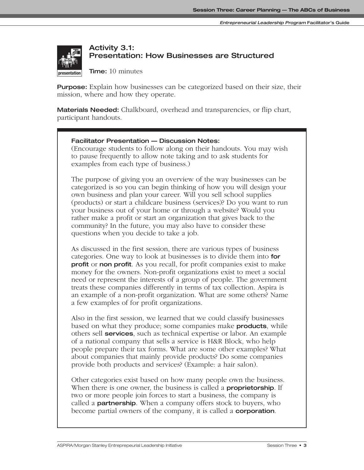# **Activity 3.1: Presentation: How Businesses are Structured**

**Time:** 10 minutes

**Purpose:** Explain how businesses can be categorized based on their size, their mission, where and how they operate.

**Materials Needed:** Chalkboard, overhead and transparencies, or flip chart, participant handouts.

# **Facilitator Presentation — Discussion Notes:**

(Encourage students to follow along on their handouts. You may wish to pause frequently to allow note taking and to ask students for examples from each type of business.)

The purpose of giving you an overview of the way businesses can be categorized is so you can begin thinking of how you will design your own business and plan your career. Will you sell school supplies (products) or start a childcare business (services)? Do you want to run your business out of your home or through a website? Would you rather make a profit or start an organization that gives back to the community? In the future, you may also have to consider these questions when you decide to take a job.

As discussed in the first session, there are various types of business categories. One way to look at businesses is to divide them into **for profit** or **non profit**. As you recall, for profit companies exist to make money for the owners. Non-profit organizations exist to meet a social need or represent the interests of a group of people. The government treats these companies differently in terms of tax collection. Aspira is an example of a non-profit organization. What are some others? Name a few examples of for profit organizations.

Also in the first session, we learned that we could classify businesses based on what they produce; some companies make **products**, while others sell **services**, such as technical expertise or labor. An example of a national company that sells a service is H&R Block, who help people prepare their tax forms. What are some other examples? What about companies that mainly provide products? Do some companies provide both products and services? (Example: a hair salon).

Other categories exist based on how many people own the business. When there is one owner, the business is called a **proprietorship**. If two or more people join forces to start a business, the company is called a **partnership**. When a company offers stock to buyers, who become partial owners of the company, it is called a **corporation***.*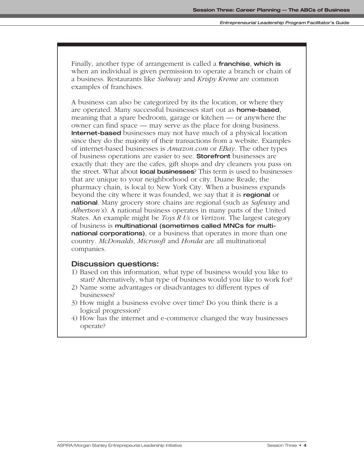Finally, another type of arrangement is called a **franchise**, **which is** when an individual is given permission to operate a branch or chain of a business. Restaurants like *Subway* and *Krispy Kreme* are common examples of franchises.

A business can also be categorized by its the location, or where they are operated. Many successful businesses start out as **home-based**, meaning that a spare bedroom, garage or kitchen — or anywhere the owner can find space — may serve as the place for doing business. **Internet-based** businesses may not have much of a physical location since they do the majority of their transactions from a website. Examples of internet-based businesses is *Amazon.com* or *EBay.* The other types of business operations are easier to see. **Storefront** businesses are exactly that: they are the cafes, gift shops and dry cleaners you pass on the street. What about **local businesses**? This term is used to businesses that are unique to your neighborhood or city. Duane Reade, the pharmacy chain, is local to New York City. When a business expands beyond the city where it was founded, we say that it is **regional** or **national**. Many grocery store chains are regional (such as *Safeway* and *Albertson's*). A national business operates in many parts of the United States. An example might be *Toys R Us* or *Verizon*. The largest category of business is **multinational (sometimes called MNCs for multinational corporations)**, or a business that operates in more than one country. *McDonalds*, *Microsoft* and *Honda* are all multinational companies.

# **Discussion questions:**

- 1) Based on this information, what type of business would you like to start? Alternatively, what type of business would you like to work for?
- 2) Name some advantages or disadvantages to different types of businesses?
- 3) How might a business evolve over time? Do you think there is a logical progression?
- 4) How has the internet and e-commerce changed the way businesses operate?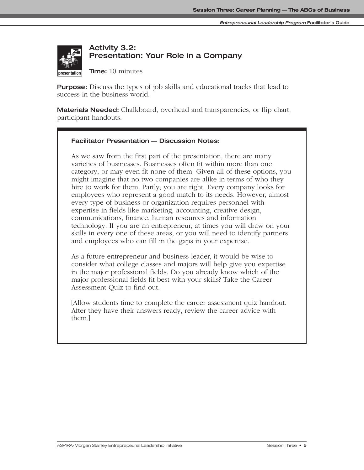

# **Activity 3.2: Presentation: Your Role in a Company**

**Time:** 10 minutes

**Purpose:** Discuss the types of job skills and educational tracks that lead to success in the business world.

**Materials Needed:** Chalkboard, overhead and transparencies, or flip chart, participant handouts.

# **Facilitator Presentation — Discussion Notes:**

As we saw from the first part of the presentation, there are many varieties of businesses. Businesses often fit within more than one category, or may even fit none of them. Given all of these options, you **interaction** might imagine that no two companies are alike in terms of who they hire to work for them. Partly, you are right. Every company looks for employees who represent a good match to its needs. However, almost every type of business or organization requires personnel with expertise in fields like marketing, accounting, creative design, communications, finance, human resources and information technology. If you are an entrepreneur, at times you will draw on your skills in every one of these areas, or you will need to identify partners and employees who can fill in the gaps in your expertise.

As a future entrepreneur and business leader, it would be wise to consider what college classes and majors will help give you expertise in the major professional fields. Do you already know which of the major professional fields fit best with your skills? Take the Career Assessment Quiz to find out.

[Allow students time to complete the career assessment quiz handout. After they have their answers ready, review the career advice with them.]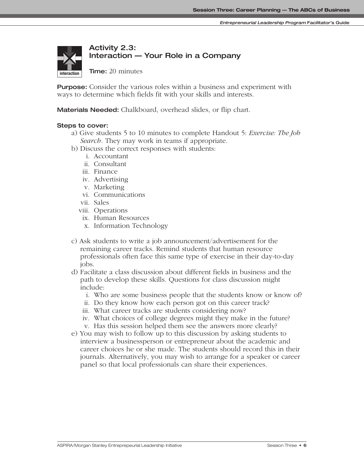

# **Activity 2.3: Interaction — Your Role in a Company**

**Time:** 20 minutes

**Purpose:** Consider the various roles within a business and experiment with ways to determine which fields fit with your skills and interests.

**Materials Needed:** Chalkboard, overhead slides, or flip chart.

## **Steps to cover:**

- a) Give students 5 to 10 minutes to complete Handout 5: *Exercise: The Job Search.* They may work in teams if appropriate.
- b) Discuss the correct responses with students:
	- i. Accountant
	- ii. Consultant
	- iii. Finance
	- iv. Advertising
	- v. Marketing
	- vi. Communications
	- vii. Sales
	- viii. Operations
	- ix. Human Resources
	- x. Information Technology
- c) Ask students to write a job announcement/advertisement for the remaining career tracks. Remind students that human resource professionals often face this same type of exercise in their day-to-day jobs.
- d) Facilitate a class discussion about different fields in business and the path to develop these skills. Questions for class discussion might include:
	- i. Who are some business people that the students know or know of?
	- ii. Do they know how each person got on this career track?
	- iii. What career tracks are students considering now?
	- iv. What choices of college degrees might they make in the future?
	- v. Has this session helped them see the answers more clearly?
- e) You may wish to follow up to this discussion by asking students to interview a businessperson or entrepreneur about the academic and career choices he or she made. The students should record this in their journals. Alternatively, you may wish to arrange for a speaker or career panel so that local professionals can share their experiences.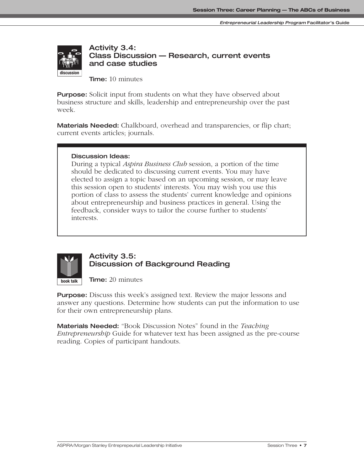

# **Activity 3.4: Class Discussion — Research, current events and case studies**

**Time:** 10 minutes

**Purpose:** Solicit input from students on what they have observed about business structure and skills, leadership and entrepreneurship over the past week.

**Materials Needed:** Chalkboard, overhead and transparencies, or flip chart; current events articles; journals.

# **Discussion Ideas:**

**presentation discussion**

During a typical *Aspira Business Club* session, a portion of the time should be dedicated to discussing current events. You may have elected to assign a topic based on an upcoming session, or may leave this session open to students' interests. You may wish you use this portion of class to assess the students' current knowledge and opinions about entrepreneurship and business practices in general. Using the feedback, consider ways to tailor the course further to students' interests.



# **Activity 3.5: Discussion of Background Reading**

**Time:** 20 minutes

**Purpose:** Discuss this week's assigned text. Review the major lessons and answer any questions. Determine how students can put the information to use for their own entrepreneurship plans.

**Materials Needed:** "Book Discussion Notes" found in the *Teaching Entrepreneurship* Guide for whatever text has been assigned as the pre-course reading. Copies of participant handouts.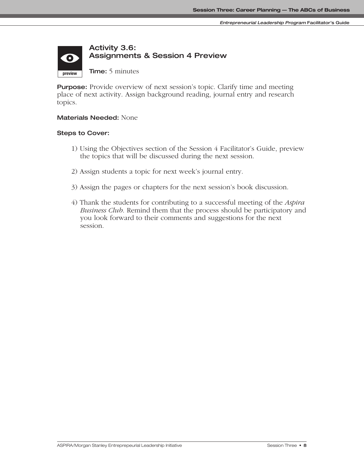# **Activity 3.6: Assignments & Session 4 Preview**  $\bullet$

**Time:** 5 minutes

**Purpose:** Provide overview of next session's topic. Clarify time and meeting place of next activity. Assign background reading, journal entry and research topics.

### **Materials Needed:** None

#### **Steps to Cover:**

**preview**

- 1) Using the Objectives section of the Session 4 Facilitator's Guide, preview the topics that will be discussed during the next session.
- 2) Assign students a topic for next week's journal entry.
- 3) Assign the pages or chapters for the next session's book discussion.
- 4) Thank the students for contributing to a successful meeting of the *Aspira Business Club*. Remind them that the process should be participatory and you look forward to their comments and suggestions for the next session.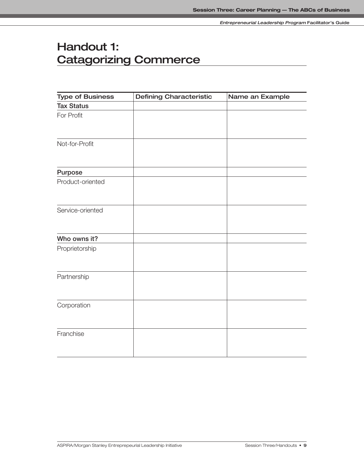# **Handout 1: Catagorizing Commerce**

| <b>Type of Business</b> | <b>Defining Characteristic</b> | Name an Example |
|-------------------------|--------------------------------|-----------------|
| <b>Tax Status</b>       |                                |                 |
| For Profit              |                                |                 |
|                         |                                |                 |
| Not-for-Profit          |                                |                 |
|                         |                                |                 |
| Purpose                 |                                |                 |
| Product-oriented        |                                |                 |
|                         |                                |                 |
| Service-oriented        |                                |                 |
|                         |                                |                 |
| Who owns it?            |                                |                 |
| Proprietorship          |                                |                 |
| Partnership             |                                |                 |
|                         |                                |                 |
| Corporation             |                                |                 |
|                         |                                |                 |
| Franchise               |                                |                 |
|                         |                                |                 |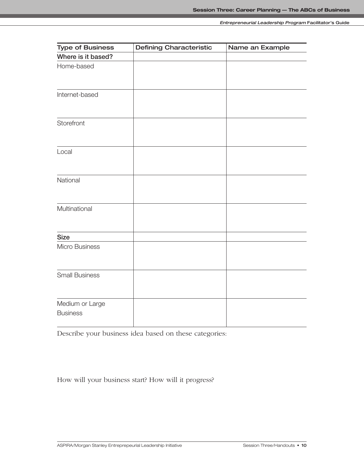| <b>Type of Business</b>            | <b>Defining Characteristic</b> | Name an Example |
|------------------------------------|--------------------------------|-----------------|
| Where is it based?                 |                                |                 |
| Home-based                         |                                |                 |
|                                    |                                |                 |
| Internet-based                     |                                |                 |
| Storefront                         |                                |                 |
|                                    |                                |                 |
| Local                              |                                |                 |
| National                           |                                |                 |
| Multinational                      |                                |                 |
| <b>Size</b>                        |                                |                 |
| Micro Business                     |                                |                 |
| <b>Small Business</b>              |                                |                 |
| Medium or Large<br><b>Business</b> |                                |                 |

Describe your business idea based on these categories:

How will your business start? How will it progress?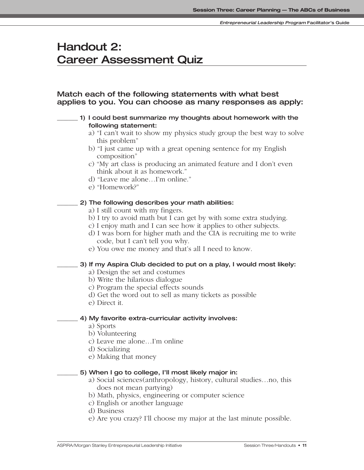# **Handout 2: Career Assessment Quiz**

# **Match each of the following statements with what best applies to you. You can choose as many responses as apply:**

# **\_\_\_\_\_\_\_ 1) I could best summarize my thoughts about homework with the following statement:**

- a) "I can't wait to show my physics study group the best way to solve this problem"
- b) "I just came up with a great opening sentence for my English composition"
- c) "My art class is producing an animated feature and I don't even think about it as homework."
- d) "Leave me alone…I'm online."
- e) "Homework?"

# **\_\_\_\_\_\_\_ 2) The following describes your math abilities:**

- a) I still count with my fingers.
- b) I try to avoid math but I can get by with some extra studying.
- c) I enjoy math and I can see how it applies to other subjects.
- d) I was born for higher math and the CIA is recruiting me to write code, but I can't tell you why.
- e) You owe me money and that's all I need to know.

# **\_\_\_\_\_\_\_ 3) If my Aspira Club decided to put on a play, I would most likely:**

a) Design the set and costumes

- b) Write the hilarious dialogue
- c) Program the special effects sounds
- d) Get the word out to sell as many tickets as possible
- e) Direct it.

## **\_\_\_\_\_\_\_ 4) My favorite extra-curricular activity involves:**

- a) Sports
- b) Volunteering
- c) Leave me alone…I'm online
- d) Socializing
- e) Making that money

# **\_\_\_\_\_\_\_ 5) When I go to college, I'll most likely major in:**

- a) Social sciences(anthropology, history, cultural studies…no, this does not mean partying)
- b) Math, physics, engineering or computer science
- c) English or another language
- d) Business
- e) Are you crazy? I'll choose my major at the last minute possible.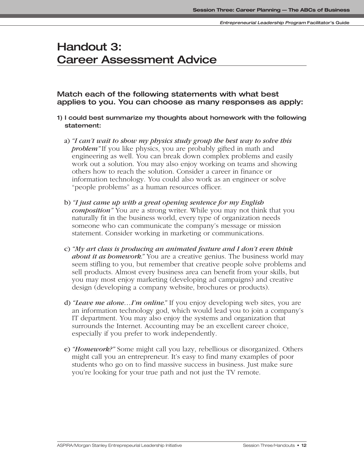# **Handout 3: Career Assessment Advice**

**Match each of the following statements with what best applies to you. You can choose as many responses as apply:**

- **1) I could best summarize my thoughts about homework with the following statement:**
	- a) *"I can't wait to show my physics study group the best way to solve this problem"* If you like physics, you are probably gifted in math and engineering as well. You can break down complex problems and easily work out a solution. You may also enjoy working on teams and showing others how to reach the solution. Consider a career in finance or information technology. You could also work as an engineer or solve "people problems" as a human resources officer.
	- b) *"I just came up with a great opening sentence for my English composition"* You are a strong writer. While you may not think that you naturally fit in the business world, every type of organization needs someone who can communicate the company's message or mission statement. Consider working in marketing or communications.
	- c) *"My art class is producing an animated feature and I don't even think about it as homework."* You are a creative genius. The business world may seem stifling to you, but remember that creative people solve problems and sell products. Almost every business area can benefit from your skills, but you may most enjoy marketing (developing ad campaigns) and creative design (developing a company website, brochures or products).
	- d) *"Leave me alone…I'm online."* If you enjoy developing web sites, you are an information technology god, which would lead you to join a company's IT department. You may also enjoy the systems and organization that surrounds the Internet. Accounting may be an excellent career choice, especially if you prefer to work independently.
	- e) *"Homework?"* Some might call you lazy, rebellious or disorganized. Others might call you an entrepreneur. It's easy to find many examples of poor students who go on to find massive success in business. Just make sure you're looking for your true path and not just the TV remote.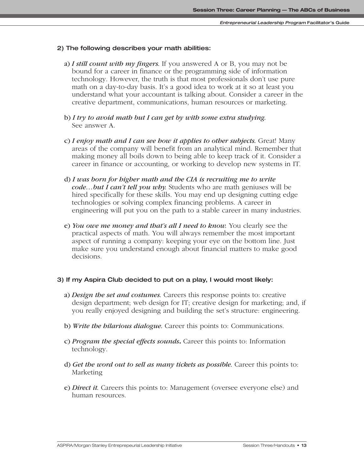#### **2) The following describes your math abilities:**

- a) *I still count with my fingers.* If you answered A or B, you may not be bound for a career in finance or the programming side of information technology. However, the truth is that most professionals don't use pure math on a day-to-day basis. It's a good idea to work at it so at least you understand what your accountant is talking about. Consider a career in the creative department, communications, human resources or marketing.
- b) *I try to avoid math but I can get by with some extra studying.* See answer A.
- c) *I enjoy math and I can see how it applies to other subjects.* Great! Many areas of the company will benefit from an analytical mind. Remember that making money all boils down to being able to keep track of it. Consider a career in finance or accounting, or working to develop new systems in IT.
- d) *I was born for higher math and the CIA is recruiting me to write code…but I can't tell you why.* Students who are math geniuses will be hired specifically for these skills. You may end up designing cutting edge technologies or solving complex financing problems. A career in engineering will put you on the path to a stable career in many industries.
- e) *You owe me money and that's all I need to know.* You clearly see the practical aspects of math. You will always remember the most important aspect of running a company: keeping your eye on the bottom line. Just make sure you understand enough about financial matters to make good decisions.

#### **3) If my Aspira Club decided to put on a play, I would most likely:**

- a) *Design the set and costumes.* Careers this response points to: creative design department; web design for IT; creative design for marketing; and, if you really enjoyed designing and building the set's structure: engineering.
- b) *Write the hilarious dialogue.* Career this points to: Communications.
- c) *Program the special effects sounds***.** Career this points to: Information technology.
- d) *Get the word out to sell as many tickets as possible.* Career this points to: Marketing
- e) *Direct it.* Careers this points to: Management (oversee everyone else) and human resources.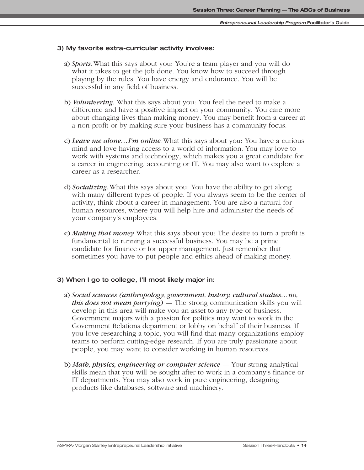#### **3) My favorite extra-curricular activity involves:**

- a) *Sports.*What this says about you: You're a team player and you will do what it takes to get the job done. You know how to succeed through playing by the rules. You have energy and endurance. You will be successful in any field of business.
- b) *Volunteering.* What this says about you: You feel the need to make a difference and have a positive impact on your community. You care more about changing lives than making money. You may benefit from a career at a non-profit or by making sure your business has a community focus.
- c) *Leave me alone…I'm online.*What this says about you: You have a curious mind and love having access to a world of information. You may love to work with systems and technology, which makes you a great candidate for a career in engineering, accounting or IT. You may also want to explore a career as a researcher.
- d) *Socializing.*What this says about you: You have the ability to get along with many different types of people. If you always seem to be the center of activity, think about a career in management. You are also a natural for human resources, where you will help hire and administer the needs of your company's employees.
- e) *Making that money.*What this says about you: The desire to turn a profit is fundamental to running a successful business. You may be a prime candidate for finance or for upper management. Just remember that sometimes you have to put people and ethics ahead of making money.

#### **3) When I go to college, I'll most likely major in:**

- a) *Social sciences (anthropology, government, history, cultural studies…no, this does not mean partying) —* The strong communication skills you will develop in this area will make you an asset to any type of business. Government majors with a passion for politics may want to work in the Government Relations department or lobby on behalf of their business. If you love researching a topic, you will find that many organizations employ teams to perform cutting-edge research. If you are truly passionate about people, you may want to consider working in human resources.
- b) *Math, physics, engineering or computer science* Your strong analytical skills mean that you will be sought after to work in a company's finance or IT departments. You may also work in pure engineering, designing products like databases, software and machinery.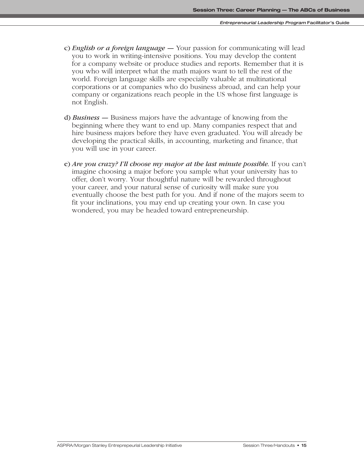- c) *English or a foreign language* Your passion for communicating will lead you to work in writing-intensive positions. You may develop the content for a company website or produce studies and reports. Remember that it is you who will interpret what the math majors want to tell the rest of the world. Foreign language skills are especially valuable at multinational corporations or at companies who do business abroad, and can help your company or organizations reach people in the US whose first language is not English.
- d) *Business* Business majors have the advantage of knowing from the beginning where they want to end up. Many companies respect that and hire business majors before they have even graduated. You will already be developing the practical skills, in accounting, marketing and finance, that you will use in your career.
- e) *Are you crazy? I'll choose my major at the last minute possible.* If you can't imagine choosing a major before you sample what your university has to offer, don't worry. Your thoughtful nature will be rewarded throughout your career, and your natural sense of curiosity will make sure you eventually choose the best path for you. And if none of the majors seem to fit your inclinations, you may end up creating your own. In case you wondered, you may be headed toward entrepreneurship.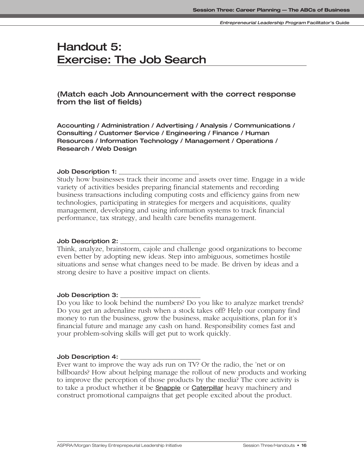# **Handout 5: Exercise: The Job Search**

# **(Match each Job Announcement with the correct response from the list of fields)**

**Accounting / Administration / Advertising / Analysis / Communications / Consulting / Customer Service / Engineering / Finance / Human Resources / Information Technology / Management / Operations / Research / Web Design**

## **Job Description 1: \_\_\_\_\_\_\_\_\_\_\_\_\_\_\_\_\_\_\_\_\_\_\_\_\_\_\_**

Study how businesses track their income and assets over time. Engage in a wide variety of activities besides preparing financial statements and recording business transactions including computing costs and efficiency gains from new technologies, participating in strategies for mergers and acquisitions, quality management, developing and using information systems to track financial performance, tax strategy, and health care benefits management.

#### **Job Description 2: \_\_\_\_\_\_\_\_\_\_\_\_\_\_\_\_\_\_\_\_\_\_\_\_\_\_\_**

Think, analyze, brainstorm, cajole and challenge good organizations to become even better by adopting new ideas. Step into ambiguous, sometimes hostile situations and sense what changes need to be made. Be driven by ideas and a strong desire to have a positive impact on clients.

## **Job Description 3: \_\_\_\_\_\_\_\_\_\_\_\_\_\_\_\_\_\_\_\_\_\_\_\_\_\_\_**

Do you like to look behind the numbers? Do you like to analyze market trends? Do you get an adrenaline rush when a stock takes off? Help our company find money to run the business, grow the business, make acquisitions, plan for it's financial future and manage any cash on hand. Responsibility comes fast and your problem-solving skills will get put to work quickly.

#### **Job Description 4: \_\_\_\_\_\_\_\_\_\_\_\_\_\_\_\_\_\_\_\_\_\_\_\_\_\_\_**

Ever want to improve the way ads run on TV? Or the radio, the 'net or on billboards? How about helping manage the rollout of new products and working to improve the perception of those products by the media? The core activity is to take a product whether it be **Snapple** or **Caterpillar** heavy machinery and construct promotional campaigns that get people excited about the product.